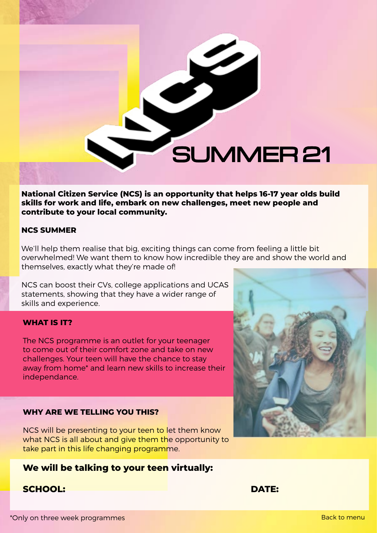**National Citizen Service (NCS) is an opportunity that helps 16-17 year olds build skills for work and life, embark on new challenges, meet new people and contribute to your local community.**

SUMMER 21

### **NCS SUMMER**

We'll help them realise that big, exciting things can come from feeling a little bit overwhelmed! We want them to know how incredible they are and show the world and themselves, exactly what they're made of!

NCS can boost their CVs, college applications and UCAS statements, showing that they have a wider range of skills and experience.

### **WHAT IS IT?**

The NCS programme is an outlet for your teenager to come out of their comfort zone and take on new challenges. Your teen will have the chance to stay away from home\* and learn new skills to increase their independance.

### **WHY ARE WE TELLING YOU THIS?**

NCS will be presenting to your teen to let them know what NCS is all about and give them the opportunity to take part in this life changing programme.

# **We will be talking to your teen virtually:**

# **SCHOOL: DATE:**

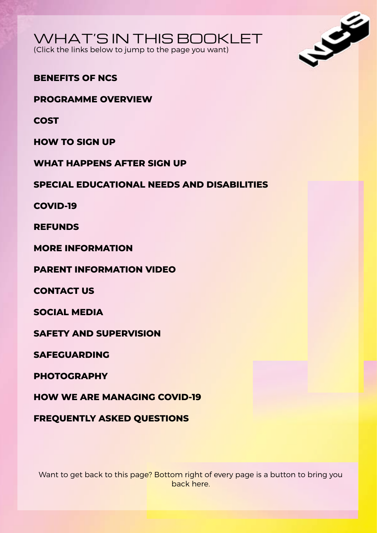

(Click the links below to jump to the page you want)



# **BENEFITS OF NCS**

**PROGRAMME OVERVIEW**

**COST**

**HOW TO SIGN UP** 

**WHAT HAPPENS AFTER SIGN UP** 

**SPECIAL EDUCATIONAL NEEDS AND DISABILITIES**

**COVID-19**

**REFUNDS**

**MORE INFORMATION** 

**PARENT INFORMATION VIDEO** 

**CONTACT US** 

**SOCIAL MEDIA**

**SAFETY AND SUPERVISION** 

**SAFEGUARDING**

**PHOTOGRAPHY**

**HOW WE ARE MANAGING COVID-19**

**FREQUENTLY ASKED QUESTIONS**

Want to get back to this page? Bottom right of every page is a button to bring you back here.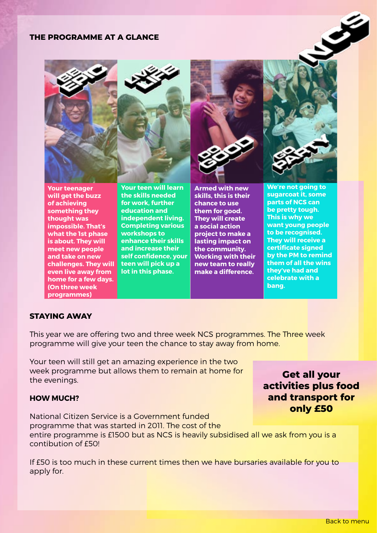### **THE PROGRAMME AT A GLANCE**



**Your teenager will get the buzz of achieving something they thought was impossible. That's what the 1st phase is about. They will meet new people and take on new challenges. They will even live away from home for a few days. (On three week programmes)**

**Your teen will learn the skills needed for work, further education and independent living. Completing various workshops to enhance their skills and increase their self confidence, your teen will pick up a lot in this phase.**

**Armed with new skills, this is their chance to use them for good. They will create a social action project to make a lasting impact on the community. Working with their new team to really make a difference.** 

**We're not going to sugarcoat it, some parts of NCS can be pretty tough. This is why we want young people to be recognised. They will receive a certificate signed by the PM to remind them of all the wins they've had and celebrate with a bang.** 

Ş

### **STAYING AWAY**

This year we are offering two and three week NCS programmes. The Three week programme will give your teen the chance to stay away from home.

Your teen will still get an amazing experience in the two week programme but allows them to remain at home for the evenings.

### **HOW MUCH?**

National Citizen Service is a Government funded programme that was started in 2011. The cost of the entire programme is £1500 but as NCS is heavily subsidised all we ask from you is a contibution of £50!

If £50 is too much in these current times then we have bursaries available for you to apply for.

**Get all your activities plus food and transport for only £50**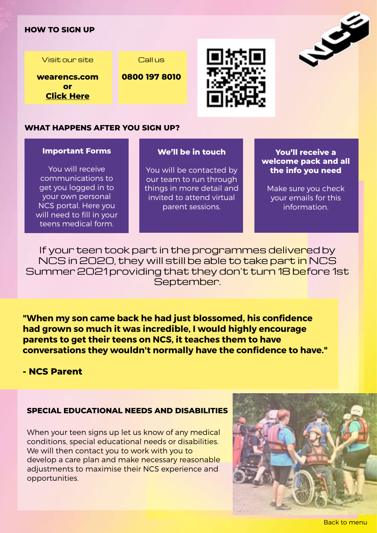### **HOW TO SIGN UP**

Visit our site

**wearencs.com or Click Here**

Call us





### **WHAT HAPPENS AFTER YOU SIGN UP?**

#### **Important Forms**

You will receive communications to get you logged in to your own personal NCS portal. Here you will need to fill in your teens medical form.

#### **We'll be in touch**

You will be contacted by our team to run through things in more detail and invited to attend virtual parent sessions.

**You'll receive a welcome pack and all the info you need** 

S

Make sure you check your emails for this information.

If your teen took part in the programmes delivered by NCS in 2020, they will still be able to take part in NCS Summer 2021 providing that they don't turn 18 before 1st September.

**"When my son came back he had just blossomed, his confidence had grown so much it was incredible, I would highly encourage parents to get their teens on NCS, it teaches them to have conversations they wouldn't normally have the confidence to have."** 

# **- NCS Parent**

### **SPECIAL EDUCATIONAL NEEDS AND DISABILITIES**

When your teen signs up let us know of any medical conditions, special educational needs or disabilities. We will then contact you to work with you to develop a care plan and make necessary reasonable adjustments to maximise their NCS experience and opportunities.

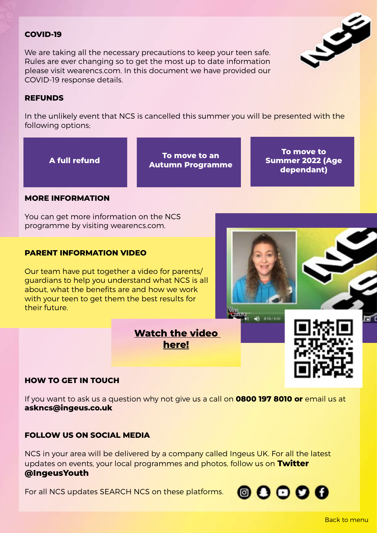### **COVID-19**

We are taking all the necessary precautions to keep your teen safe. Rules are ever changing so to get the most up to date information please visit wearencs.com. In this document we have provided our COVID-19 response details.

### **REFUNDS**

In the unlikely event that NCS is cancelled this summer you will be presented with the following options;

**A full refund To move to an Autumn Programme**

**To move to Summer 2022 (Age dependant)**

### **MORE INFORMATION**

You can get more information on the NCS programme by visiting wearencs.com.

### **PARENT INFORMATION VIDEO**

Our team have put together a video for parents/ guardians to help you understand what NCS is all about, what the benefits are and how we work with your teen to get them the best results for their future.



 $\circ$   $\circ$   $\circ$   $\circ$ 

### **HOW TO GET IN TOUCH**

If you want to ask us a question why not give us a call on **0800 197 8010 or** email us at **askncs@ingeus.co.uk**

**[here!](https://bit.ly/3sc1F6Y)**

### **FOLLOW US ON SOCIAL MEDIA**

NCS in your area will be delivered by a company called Ingeus UK. For all the latest updates on events, your local programmes and photos, follow us on **Twitter [@IngeusYouth](https://twitter.com/IngeusYouth)**

For all NCS updates SEARCH NCS on these platforms.



同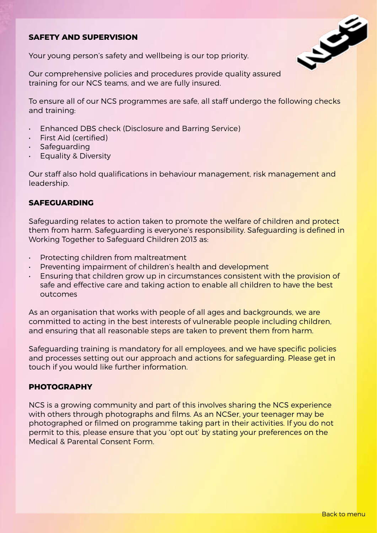# **SAFETY AND SUPERVISION**

Your young person's safety and wellbeing is our top priority.

Our comprehensive policies and procedures provide quality assured training for our NCS teams, and we are fully insured.

To ensure all of our NCS programmes are safe, all staff undergo the following checks and training:

- Enhanced DBS check (Disclosure and Barring Service)
- First Aid (certified)
- Safeguarding
- Equality & Diversity

Our staff also hold qualifications in behaviour management, risk management and leadership.

### **SAFEGUARDING**

Safeguarding relates to action taken to promote the welfare of children and protect them from harm. Safeguarding is everyone's responsibility. Safeguarding is defined in Working Together to Safeguard Children 2013 as:

- Protecting children from maltreatment
- Preventing impairment of children's health and development
- Ensuring that children grow up in circumstances consistent with the provision of safe and effective care and taking action to enable all children to have the best outcomes

As an organisation that works with people of all ages and backgrounds, we are committed to acting in the best interests of vulnerable people including children, and ensuring that all reasonable steps are taken to prevent them from harm.

Safeguarding training is mandatory for all employees, and we have specific policies and processes setting out our approach and actions for safeguarding. Please get in touch if you would like further information.

### **PHOTOGRAPHY**

NCS is a growing community and part of this involves sharing the NCS experience with others through photographs and films. As an NCSer, your teenager may be photographed or filmed on programme taking part in their activities. If you do not permit to this, please ensure that you 'opt out' by stating your preferences on the Medical & Parental Consent Form.

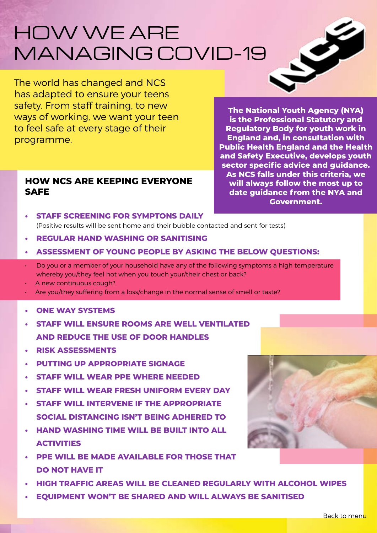# HOW WE ARE MANAGING COVID-19

The world has changed and NCS has adapted to ensure your teens safety. From staff training, to new ways of working, we want your teen to feel safe at every stage of their programme.

# **HOW NCS ARE KEEPING EVERYONE SAFE**

**The National Youth Agency (NYA) is the Professional Statutory and Regulatory Body for youth work in England and, in consultation with Public Health England and the Health and Safety Executive, develops youth sector specific advice and guidance. As NCS falls under this criteria, we will always follow the most up to date guidance from the NYA and Government.**

Ş

- **• STAFF SCREENING FOR SYMPTONS DAILY**  (Positive results will be sent home and their bubble contacted and sent for tests)
- **• REGULAR HAND WASHING OR SANITISING**
- **• ASSESSMENT OF YOUNG PEOPLE BY ASKING THE BELOW QUESTIONS:**
- Do you or a member of your household have any of the following symptoms a high temperature whereby you/they feel hot when you touch your/their chest or back?
- A new continuous cough?
- Are you/they suffering from a loss/change in the normal sense of smell or taste?
- **• ONE WAY SYSTEMS**
- **• STAFF WILL ENSURE ROOMS ARE WELL VENTILATED AND REDUCE THE USE OF DOOR HANDLES**
- **• RISK ASSESSMENTS**
- **• PUTTING UP APPROPRIATE SIGNAGE**
- **• STAFF WILL WEAR PPE WHERE NEEDED**
- **• STAFF WILL WEAR FRESH UNIFORM EVERY DAY**
- **• STAFF WILL INTERVENE IF THE APPROPRIATE SOCIAL DISTANCING ISN'T BEING ADHERED TO**
- **• HAND WASHING TIME WILL BE BUILT INTO ALL ACTIVITIES**
- **• PPE WILL BE MADE AVAILABLE FOR THOSE THAT DO NOT HAVE IT**
- **• HIGH TRAFFIC AREAS WILL BE CLEANED REGULARLY WITH ALCOHOL WIPES**
- **• EQUIPMENT WON'T BE SHARED AND WILL ALWAYS BE SANITISED**

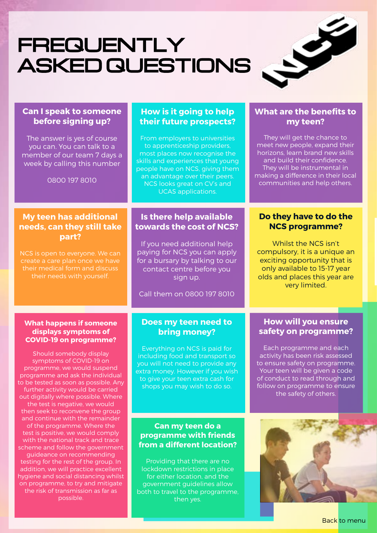# FREQUENTLY ASKED QUESTIONS



# **Can I speak to someone before signing up?**

The answer is yes of course you can. You can talk to a member of our team 7 days a week by calling this number

0800 197 8010

# **My teen has additional needs, can they still take part?**

NCS is open to everyone. We can create a care plan once we have their medical form and discuss their needs with yourself.

# **How is it going to help their future prospects?**

From employers to universities to apprenticeship providers, most places now recognise the skills and experiences that young people have on NCS, giving them an advantage over their peers. NCS looks great on CV's and UCAS applications.

# **Is there help available towards the cost of NCS?**

If you need additional help paying for NCS you can apply for a bursary by talking to our contact centre before you sign up.

Call them on 0800 197 8010

### **What happens if someone displays symptoms of COVID-19 on programme?**

Should somebody display symptoms of COVID-19 on programme, we would suspend programme and ask the individual to be tested as soon as possible. Any further activity would be carried out digitally where possible. Where the test is negative, we would then seek to reconvene the group and continue with the remainder of the programme. Where the test is positive, we would comply with the national track and trace scheme and follow the government guideance on recommending testing for the rest of the group. In addition, we will practice excellent hygiene and social distancing whilst on programme, to try and mitigate the risk of transmission as far as possible.

### **Does my teen need to bring money?**

Everything on NCS is paid for including food and transport so you will not need to provide any extra money. However if you wish to give your teen extra cash for shops you may wish to do so.

# **Can my teen do a programme with friends from a different location?**

Providing that there are no lockdown restrictions in place for either location, and the government guidelines allow both to travel to the programme, then yes.

# **What are the benefits to my teen?**

They will get the chance to meet new people, expand their horizons, learn brand new skills and build their confidence. They will be instrumental in making a difference in their local communities and help others.

# **Do they have to do the NCS programme?**

Whilst the NCS isn't compulsory, it is a unique an exciting opportunity that is only available to 15-17 year olds and places this year are very limited.

# **How will you ensure safety on programme?**

Each programme and each activity has been risk assessed to ensure safety on programme. Your teen will be given a code of conduct to read through and follow on programme to ensure the safety of others.